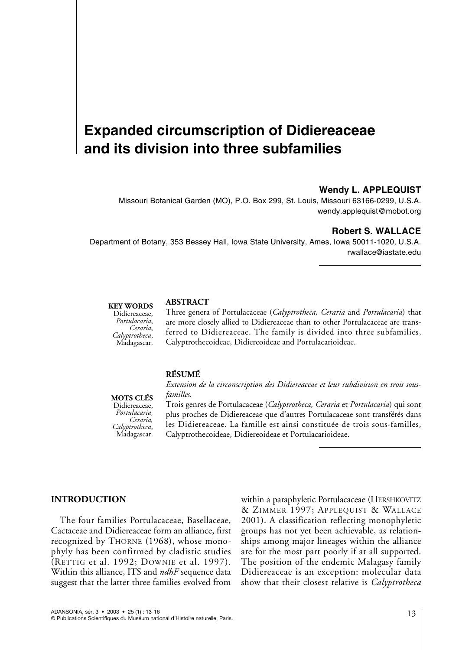# **Expanded circumscription of Didiereaceae and its division into three subfamilies**

# **Wendy L. APPLEQUIST**

Missouri Botanical Garden (MO), P.O. Box 299, St. Louis, Missouri 63166-0299, U.S.A. wendy.applequist@mobot.org

### **Robert S. WALLACE**

Department of Botany, 353 Bessey Hall, Iowa State University, Ames, Iowa 50011-1020, U.S.A. rwallace@iastate.edu

#### **KEY WORDS**

Didiereaceae,<br>*Portulacaria*, *Portulacaria*, *Ceraria*, *Calyptrotheca*, Madagascar.

# **ABSTRACT**

Three genera of Portulacaceae (*Calyptrotheca, Ceraria* and *Portulacaria*) that are more closely allied to Didiereaceae than to other Portulacaceae are transferred to Didiereaceae. The family is divided into three subfamilies, Calyptrothecoideae, Didiereoideae and Portulacarioideae.

### **RÉSUMÉ**

**MOTS CLÉS**  Didiereaceae, *Portulacaria, Ceraria*,<br>*Calyptrotheca*, *Calyptrotheca*, Madagascar.

*Extension de la circonscription des Didiereaceae et leur subdivision en trois sousfamilles.*

Trois genres de Portulacaceae (*Calyptrotheca, Ceraria* et *Portulacaria*) qui sont plus proches de Didiereaceae que d'autres Portulacaceae sont transférés dans les Didiereaceae. La famille est ainsi constituée de trois sous-familles, Calyptrothecoideae, Didiereoideae et Portulacarioideae.

# **INTRODUCTION**

The four families Portulacaceae, Basellaceae, Cactaceae and Didiereaceae form an alliance, first recognized by THORNE (1968), whose monophyly has been confirmed by cladistic studies (RETTIG et al. 1992; DOWNIE et al. 1997). Within this alliance, ITS and *ndhF* sequence data suggest that the latter three families evolved from within a paraphyletic Portulacaceae (HERSHKOVITZ & ZIMMER 1997; APPLEQUIST & WALLACE 2001). A classification reflecting monophyletic groups has not yet been achievable, as relationships among major lineages within the alliance are for the most part poorly if at all supported. The position of the endemic Malagasy family Didiereaceae is an exception: molecular data show that their closest relative is *Calyptrotheca*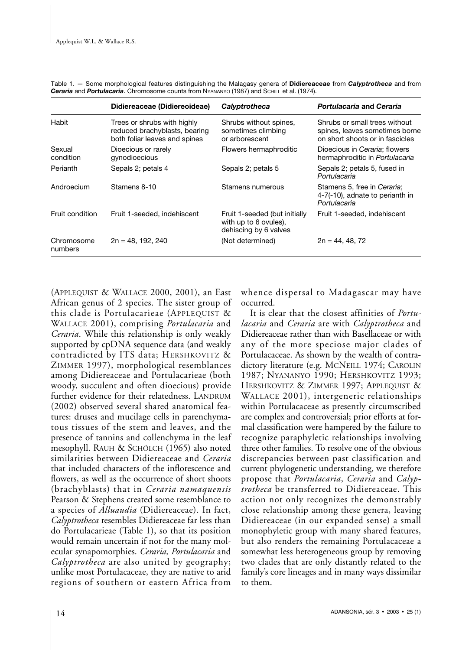|                       | Didiereaceae (Didiereoideae)                                                                  | Calyptrotheca                                                                   | Portulacaria and Ceraria                                                                           |
|-----------------------|-----------------------------------------------------------------------------------------------|---------------------------------------------------------------------------------|----------------------------------------------------------------------------------------------------|
| Habit                 | Trees or shrubs with highly<br>reduced brachyblasts, bearing<br>both foliar leaves and spines | Shrubs without spines,<br>sometimes climbing<br>or arborescent                  | Shrubs or small trees without<br>spines, leaves sometimes borne<br>on short shoots or in fascicles |
| Sexual<br>condition   | Dioecious or rarely<br>gynodioecious                                                          | Flowers hermaphroditic                                                          | Dioecious in Ceraria; flowers<br>hermaphroditic in Portulacaria                                    |
| Perianth              | Sepals 2; petals 4                                                                            | Sepals 2; petals 5                                                              | Sepals 2; petals 5, fused in<br>Portulacaria                                                       |
| Androecium            | Stamens 8-10                                                                                  | Stamens numerous                                                                | Stamens 5, free in Ceraria;<br>4-7(-10), adnate to perianth in<br>Portulacaria                     |
| Fruit condition       | Fruit 1-seeded, indehiscent                                                                   | Fruit 1-seeded (but initially<br>with up to 6 ovules),<br>dehiscing by 6 valves | Fruit 1-seeded, indehiscent                                                                        |
| Chromosome<br>numbers | $2n = 48, 192, 240$                                                                           | (Not determined)                                                                | $2n = 44, 48, 72$                                                                                  |

Table 1. — Some morphological features distinguishing the Malagasy genera of **Didiereaceae** from *Calyptrotheca* and from *Ceraria* and *Portulacaria*. Chromosome counts from NYANANYO (1987) and SCHILL et al. (1974).

(APPLEQUIST & WALLACE 2000, 2001), an East African genus of 2 species. The sister group of this clade is Portulacarieae (APPLEQUIST & WALLACE 2001), comprising *Portulacaria* and *Ceraria*. While this relationship is only weakly supported by cpDNA sequence data (and weakly contradicted by ITS data; HERSHKOVITZ & ZIMMER 1997), morphological resemblances among Didiereaceae and Portulacarieae (both woody, succulent and often dioecious) provide further evidence for their relatedness. LANDRUM (2002) observed several shared anatomical features: druses and mucilage cells in parenchymatous tissues of the stem and leaves, and the presence of tannins and collenchyma in the leaf mesophyll. RAUH & SCHÖLCH (1965) also noted similarities between Didiereaceae and *Ceraria* that included characters of the inflorescence and flowers, as well as the occurrence of short shoots (brachyblasts) that in *Ceraria namaquensis* Pearson & Stephens created some resemblance to a species of *Alluaudia* (Didiereaceae). In fact, *Calyptrotheca* resembles Didiereaceae far less than do Portulacarieae (Table 1), so that its position would remain uncertain if not for the many molecular synapomorphies. *Ceraria, Portulacaria* and *Calyptrotheca* are also united by geography; unlike most Portulacaceae, they are native to arid regions of southern or eastern Africa from

whence dispersal to Madagascar may have occurred.

It is clear that the closest affinities of *Portulacaria* and *Ceraria* are with *Calyptrotheca* and Didiereaceae rather than with Basellaceae or with any of the more speciose major clades of Portulacaceae. As shown by the wealth of contradictory literature (e.g. MCNEILL 1974; CAROLIN 1987; NYANANYO 1990; HERSHKOVITZ 1993; HERSHKOVITZ & ZIMMER 1997; APPLEQUIST & WALLACE 2001), intergeneric relationships within Portulacaceae as presently circumscribed are complex and controversial; prior efforts at formal classification were hampered by the failure to recognize paraphyletic relationships involving three other families. To resolve one of the obvious discrepancies between past classification and current phylogenetic understanding, we therefore propose that *Portulacaria*, *Ceraria* and *Calyptrotheca* be transferred to Didiereaceae. This action not only recognizes the demonstrably close relationship among these genera, leaving Didiereaceae (in our expanded sense) a small monophyletic group with many shared features, but also renders the remaining Portulacaceae a somewhat less heterogeneous group by removing two clades that are only distantly related to the family's core lineages and in many ways dissimilar to them.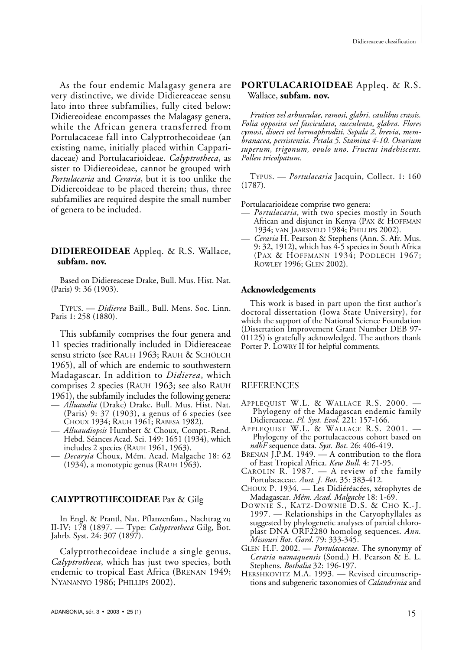As the four endemic Malagasy genera are very distinctive, we divide Didiereaceae sensu lato into three subfamilies, fully cited below: Didiereoideae encompasses the Malagasy genera, while the African genera transferred from Portulacaceae fall into Calyptrothecoideae (an existing name, initially placed within Capparidaceae) and Portulacarioideae. *Calyptrotheca*, as sister to Didiereoideae, cannot be grouped with *Portulacaria* and *Ceraria*, but it is too unlike the Didiereoideae to be placed therein; thus, three subfamilies are required despite the small number of genera to be included.

# **DIDIEREOIDEAE** Appleq. & R.S. Wallace, **subfam. nov.**

Based on Didiereaceae Drake, Bull. Mus. Hist. Nat. (Paris) 9: 36 (1903).

TYPUS. — *Didierea* Baill., Bull. Mens. Soc. Linn. Paris 1: 258 (1880).

This subfamily comprises the four genera and 11 species traditionally included in Didiereaceae sensu stricto (see RAUH 1963; RAUH & SCHÖLCH 1965), all of which are endemic to southwestern Madagascar. In addition to *Didierea*, which comprises 2 species (RAUH 1963; see also RAUH 1961), the subfamily includes the following genera:

- *Alluaudia* (Drake) Drake, Bull. Mus. Hist. Nat. (Paris) 9: 37 (1903), a genus of 6 species (see CHOUX 1934; RAUH 1961; RABESA 1982).
- *Alluaudiopsis* Humbert & Choux, Compt.-Rend. Hebd. Séances Acad. Sci. 149: 1651 (1934), which includes 2 species (RAUH 1961, 1963).
- *Decaryia* Choux, Mém. Acad. Malgache 18: 62  $(1934)$ , a monotypic genus (RAUH 1963).

# **CALYPTROTHECOIDEAE** Pax & Gilg

In Engl. & Prantl, Nat. Pflanzenfam., Nachtrag zu II-IV: 178 (1897. — Type: *Calyptrotheca* Gilg, Bot. Jahrb. Syst. 24: 307 (1897).

Calyptrothecoideae include a single genus, *Calyptrotheca*, which has just two species, both endemic to tropical East Africa (BRENAN 1949; NYANANYO 1986; PHILLIPS 2002).

# **PORTULACARIOIDEAE** Appleq. & R.S. Wallace, **subfam. nov.**

*Frutices vel arbusculae, ramosi, glabri, caulibus crassis. Folia opposita vel fasciculata, succulenta, glabra. Flores cymosi, dioeci vel hermaphroditi. Sepala 2, brevia, membranacea, persistentia. Petala 5. Stamina 4-10. Ovarium superum, trigonum, ovulo uno. Fructus indehiscens. Pollen tricolpatum.*

TYPUS. — *Portulacaria* Jacquin, Collect. 1: 160 (1787).

Portulacarioideae comprise two genera:

- *Portulacaria*, with two species mostly in South African and disjunct in Kenya (PAX & HOFFMAN 1934; VAN JAARSVELD 1984; PHILLIPS 2002).
- *Ceraria* H. Pearson & Stephens (Ann. S. Afr. Mus. 9: 32, 1912), which has 4-5 species in South Africa (PAX & HOFFMANN 1934; PODLECH 1967; ROWLEY 1996; GLEN 2002).

#### **Acknowledgements**

This work is based in part upon the first author's doctoral dissertation (Iowa State University), for which the support of the National Science Foundation (Dissertation Improvement Grant Number DEB 97- 01125) is gratefully acknowledged. The authors thank Porter P. LOWRY II for helpful comments.

#### REFERENCES

- APPLEQUIST W.L. & WALLACE R.S. 2000. Phylogeny of the Madagascan endemic family Didiereaceae. *Pl. Syst. Evol.* 221: 157-166.
- APPLEQUIST W.L. & WALLACE R.S. 2001. Phylogeny of the portulacaceous cohort based on *ndhF* sequence data. *Syst. Bot*. 26: 406-419.
- BRENAN J.P.M. 1949. A contribution to the flora of East Tropical Africa. *Kew Bull.* 4: 71-95.
- CAROLIN R. 1987. A review of the family Portulacaceae. *Aust. J. Bot*. 35: 383-412.
- CHOUX P. 1934. Les Didiéréacées, xérophytes de Madagascar. *Mém. Acad. Malgache* 18: 1-69.
- DOWNIE S., KATZ-DOWNIE D.S. & CHO K.-J. 1997. — Relationships in the Caryophyllales as suggested by phylogenetic analyses of partial chloroplast DNA ORF2280 homolog sequences. *Ann. Missouri Bot. Gard*. 79: 333-345.
- GLEN H.F. 2002. *Portulacaceae*. The synonymy of *Ceraria namaquensis* (Sond.) H. Pearson & E. L. Stephens. *Bothalia* 32: 196-197.
- HERSHKOVITZ M.A. 1993. Revised circumscriptions and subgeneric taxonomies of *Calandrinia* and